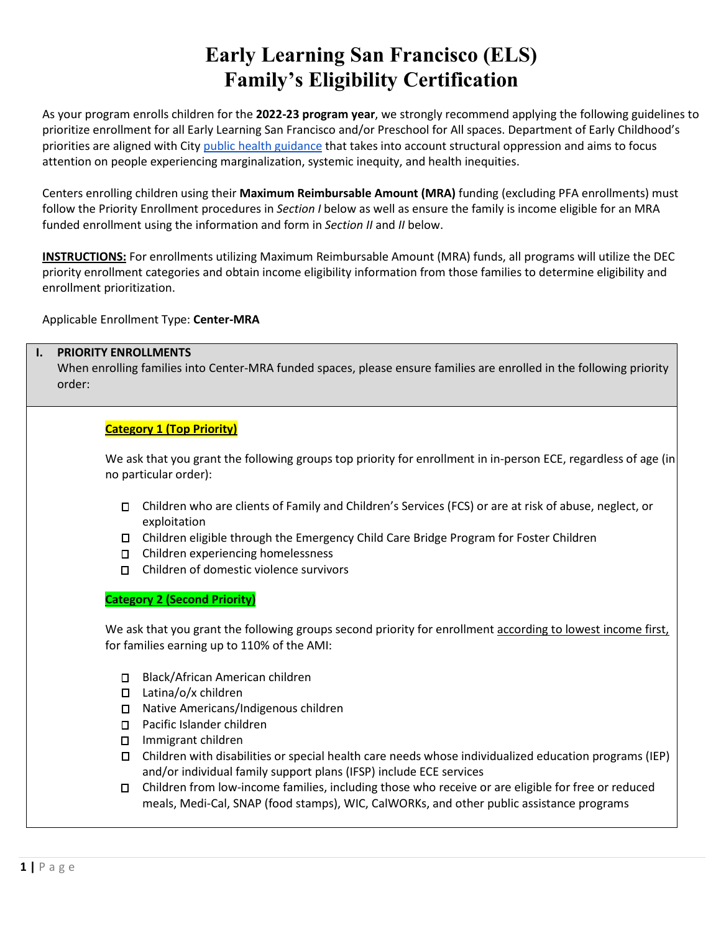# **Early Learning San Francisco (ELS) Family's Eligibility Certification**

As your program enrolls children for the **2022-23 program year**, we strongly recommend applying the following guidelines to prioritize enrollment for all Early Learning San Francisco and/or Preschool for All spaces. Department of Early Childhood's priorities are aligned with Cit[y public health guidance](https://www.sfcdcp.org/wp-content/uploads/2020/06/COVID19-Health-Advisory-StructurallyVulnerablePops-FINAL-06.2.2020.pdf) that takes into account structural oppression and aims to focus attention on people experiencing marginalization, systemic inequity, and health inequities.

Centers enrolling children using their **Maximum Reimbursable Amount (MRA)** funding (excluding PFA enrollments) must follow the Priority Enrollment procedures in *Section I* below as well as ensure the family is income eligible for an MRA funded enrollment using the information and form in *Section II* and *II* below.

**INSTRUCTIONS:** For enrollments utilizing Maximum Reimbursable Amount (MRA) funds, all programs will utilize the DEC priority enrollment categories and obtain income eligibility information from those families to determine eligibility and enrollment prioritization.

Applicable Enrollment Type: **Center-MRA**

### **I. PRIORITY ENROLLMENTS**

When enrolling families into Center-MRA funded spaces, please ensure families are enrolled in the following priority order:

## **Category 1 (Top Priority)**

We ask that you grant the following groups top priority for enrollment in in-person ECE, regardless of age (in no particular order):

- Children who are clients of Family and Children's Services (FCS) or are at risk of abuse, neglect, or exploitation
- Children eligible through the Emergency Child Care Bridge Program for Foster Children
- Children experiencing homelessness
- Children of domestic violence survivors

#### **Category 2 (Second Priority)**

We ask that you grant the following groups second priority for enrollment according to lowest income first, for families earning up to 110% of the AMI:

- □ Black/African American children
- $\Box$  Latina/o/x children
- □ Native Americans/Indigenous children
- □ Pacific Islander children
- □ Immigrant children
- Children with disabilities or special health care needs whose individualized education programs (IEP) and/or individual family support plans (IFSP) include ECE services
- Children from low-income families, including those who receive or are eligible for free or reduced meals, Medi-Cal, SNAP (food stamps), WIC, CalWORKs, and other public assistance programs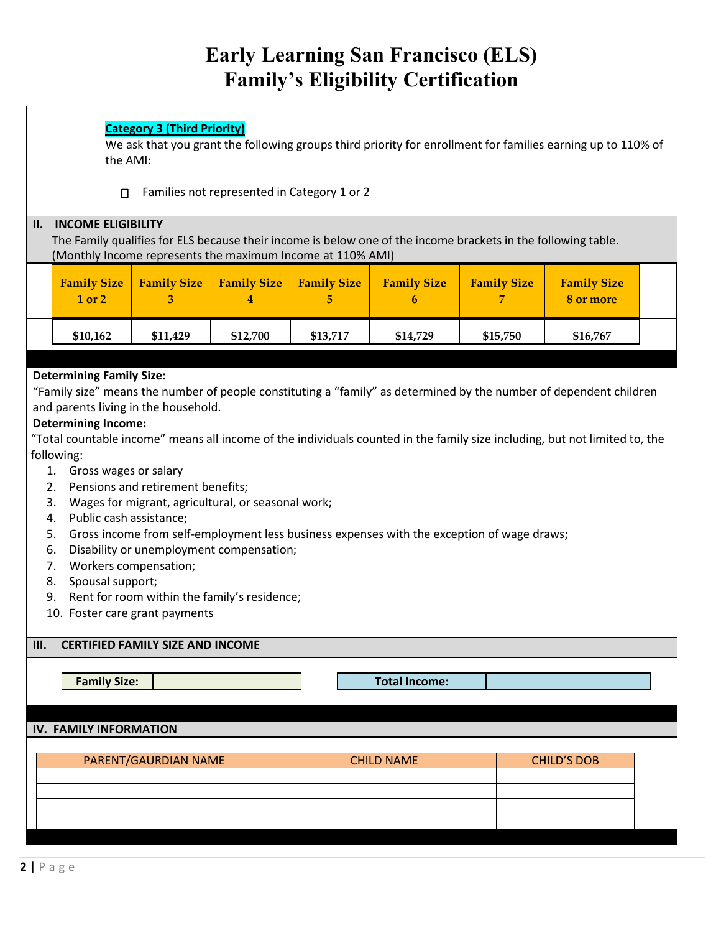# **Early Learning San Francisco (ELS) Family's Eligibility Certification**

## **Category 3 (Third Priority)**

We ask that you grant the following groups third priority for enrollment for families earning up to 110% of the AMI:

Families not represented in Category 1 or 2

| <b>INCOME ELIGIBILITY</b><br>Н.<br>The Family qualifies for ELS because their income is below one of the income brackets in the following table.<br>(Monthly Income represents the maximum Income at 110% AMI) |                                                                                                                                                                                                              |                                                                                                                                                                                                                                |                         |                         |                                                                                            |                    |                                                                                                                            |  |  |
|----------------------------------------------------------------------------------------------------------------------------------------------------------------------------------------------------------------|--------------------------------------------------------------------------------------------------------------------------------------------------------------------------------------------------------------|--------------------------------------------------------------------------------------------------------------------------------------------------------------------------------------------------------------------------------|-------------------------|-------------------------|--------------------------------------------------------------------------------------------|--------------------|----------------------------------------------------------------------------------------------------------------------------|--|--|
|                                                                                                                                                                                                                | <b>Family Size</b><br>1 or 2                                                                                                                                                                                 | <b>Family Size</b><br>3                                                                                                                                                                                                        | <b>Family Size</b><br>4 | <b>Family Size</b><br>5 | <b>Family Size</b><br>6                                                                    | <b>Family Size</b> | <b>Family Size</b><br>8 or more                                                                                            |  |  |
|                                                                                                                                                                                                                | \$10,162                                                                                                                                                                                                     | \$11,429                                                                                                                                                                                                                       | \$12,700                | \$13,717                | \$14,729                                                                                   | \$15,750           | \$16,767                                                                                                                   |  |  |
| <b>Determining Family Size:</b><br>"Family size" means the number of people constituting a "family" as determined by the number of dependent children<br>and parents living in the household.                  |                                                                                                                                                                                                              |                                                                                                                                                                                                                                |                         |                         |                                                                                            |                    |                                                                                                                            |  |  |
| 5.<br>6.<br>8.<br>Ш.                                                                                                                                                                                           | <b>Determining Income:</b><br>following:<br>1. Gross wages or salary<br>2.<br>3.<br>Public cash assistance;<br>4.<br>Workers compensation;<br>7.<br>Spousal support;<br>9.<br>10. Foster care grant payments | Pensions and retirement benefits;<br>Wages for migrant, agricultural, or seasonal work;<br>Disability or unemployment compensation;<br>Rent for room within the family's residence;<br><b>CERTIFIED FAMILY SIZE AND INCOME</b> |                         |                         | Gross income from self-employment less business expenses with the exception of wage draws; |                    | "Total countable income" means all income of the individuals counted in the family size including, but not limited to, the |  |  |
|                                                                                                                                                                                                                | <b>Family Size:</b>                                                                                                                                                                                          |                                                                                                                                                                                                                                |                         |                         | <b>Total Income:</b>                                                                       |                    |                                                                                                                            |  |  |
| <b>IV. FAMILY INFORMATION</b>                                                                                                                                                                                  |                                                                                                                                                                                                              |                                                                                                                                                                                                                                |                         |                         |                                                                                            |                    |                                                                                                                            |  |  |
|                                                                                                                                                                                                                |                                                                                                                                                                                                              | PARENT/GAURDIAN NAME                                                                                                                                                                                                           |                         |                         | <b>CHILD NAME</b>                                                                          |                    | <b>CHILD'S DOB</b>                                                                                                         |  |  |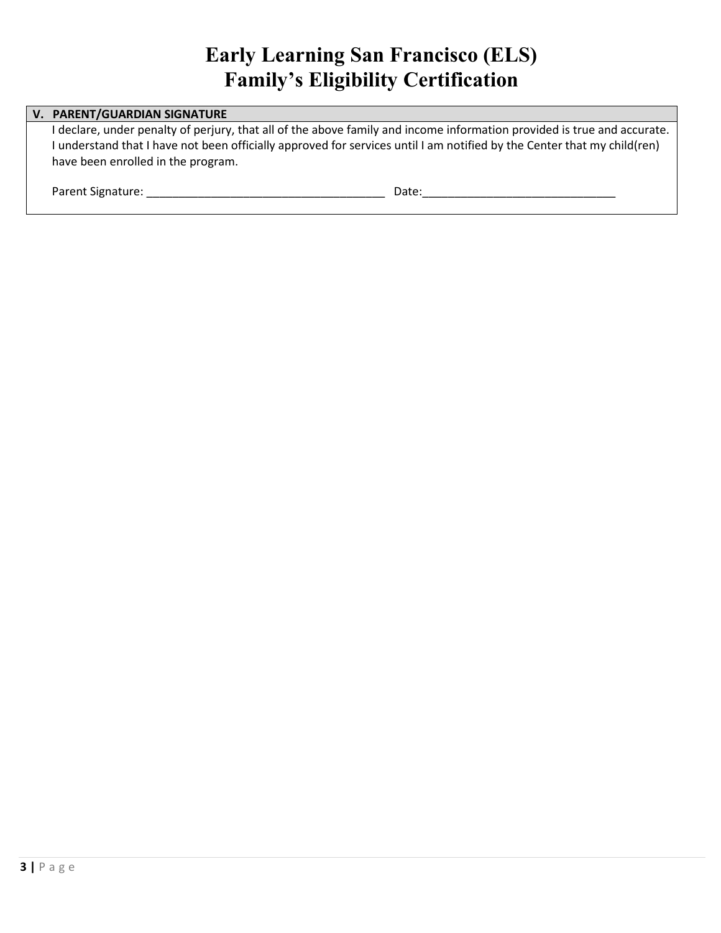## **Early Learning San Francisco (ELS) Family's Eligibility Certification**

## **V. PARENT/GUARDIAN SIGNATURE**

I declare, under penalty of perjury, that all of the above family and income information provided is true and accurate. I understand that I have not been officially approved for services until I am notified by the Center that my child(ren) have been enrolled in the program.

| Parent Signature: |
|-------------------|
|                   |

Parent Signature: \_\_\_\_\_\_\_\_\_\_\_\_\_\_\_\_\_\_\_\_\_\_\_\_\_\_\_\_\_\_\_\_\_\_\_\_\_ Date:\_\_\_\_\_\_\_\_\_\_\_\_\_\_\_\_\_\_\_\_\_\_\_\_\_\_\_\_\_\_